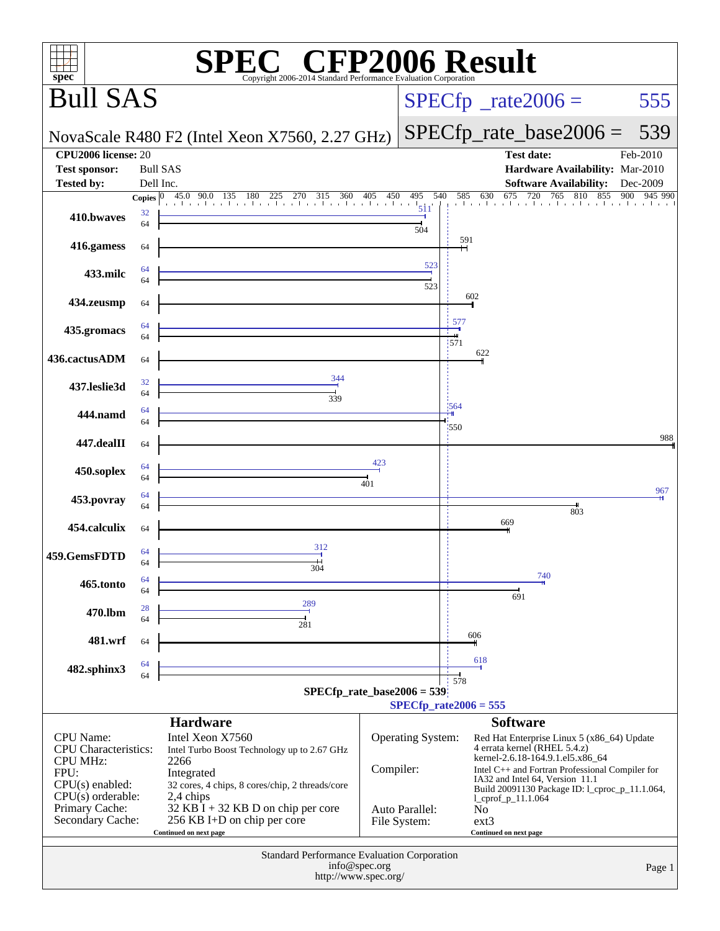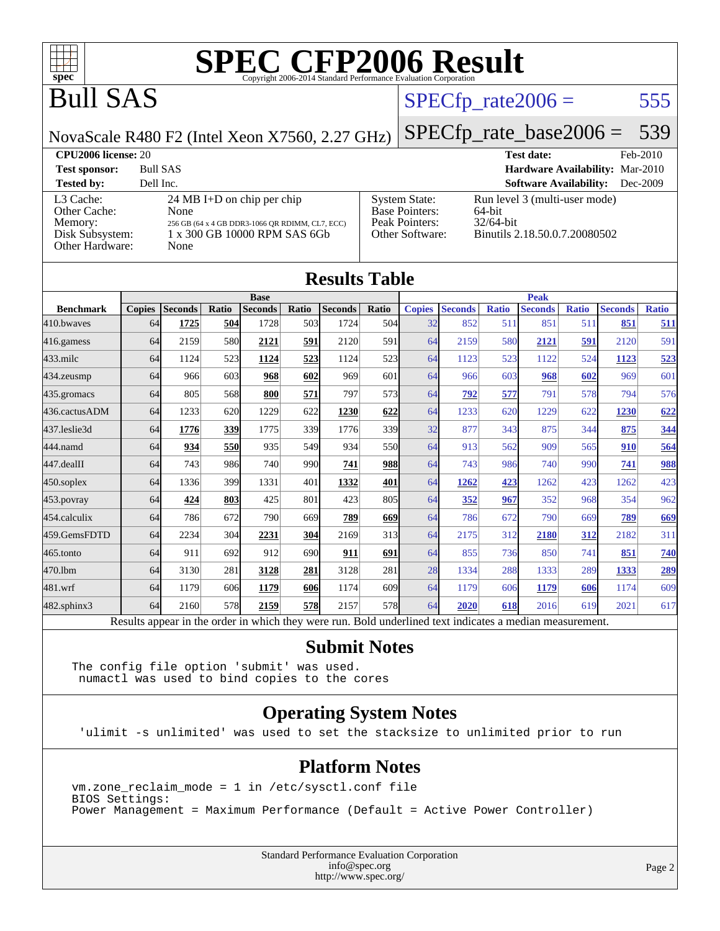

[Base Pointers:](http://www.spec.org/auto/cpu2006/Docs/result-fields.html#BasePointers)

[Peak Pointers:](http://www.spec.org/auto/cpu2006/Docs/result-fields.html#PeakPointers) 32/64-bit<br>Other Software: Binutils 2

### Bull SAS

### $SPECTp_rate2006 = 555$

[System State:](http://www.spec.org/auto/cpu2006/Docs/result-fields.html#SystemState) Run level 3 (multi-user mode)<br>Base Pointers: 64-bit

NovaScale R480 F2 (Intel Xeon X7560, 2.27 GHz)

[SPECfp\\_rate\\_base2006 =](http://www.spec.org/auto/cpu2006/Docs/result-fields.html#SPECfpratebase2006) 539

Binutils 2.18.50.0.7.20080502

**[CPU2006 license:](http://www.spec.org/auto/cpu2006/Docs/result-fields.html#CPU2006license)** 20 **[Test date:](http://www.spec.org/auto/cpu2006/Docs/result-fields.html#Testdate)** Feb-2010 **[Test sponsor:](http://www.spec.org/auto/cpu2006/Docs/result-fields.html#Testsponsor)** Bull SAS **[Hardware Availability:](http://www.spec.org/auto/cpu2006/Docs/result-fields.html#HardwareAvailability)** Mar-2010 **[Tested by:](http://www.spec.org/auto/cpu2006/Docs/result-fields.html#Testedby)** Dell Inc. **[Software Availability:](http://www.spec.org/auto/cpu2006/Docs/result-fields.html#SoftwareAvailability)** Dec-2009

#### [L3 Cache:](http://www.spec.org/auto/cpu2006/Docs/result-fields.html#L3Cache) 24 MB I+D on chip per chip<br>Other Cache: None [Other Cache:](http://www.spec.org/auto/cpu2006/Docs/result-fields.html#OtherCache) [Memory:](http://www.spec.org/auto/cpu2006/Docs/result-fields.html#Memory) 256 GB (64 x 4 GB DDR3-1066 QR RDIMM, CL7, ECC) [Disk Subsystem:](http://www.spec.org/auto/cpu2006/Docs/result-fields.html#DiskSubsystem) 1 x 300 GB 10000 RPM SAS 6Gb [Other Hardware:](http://www.spec.org/auto/cpu2006/Docs/result-fields.html#OtherHardware) None

| <b>Results Table</b> |                                                                                                          |                |       |                |       |                |             |               |                |              |                |              |                |              |
|----------------------|----------------------------------------------------------------------------------------------------------|----------------|-------|----------------|-------|----------------|-------------|---------------|----------------|--------------|----------------|--------------|----------------|--------------|
|                      |                                                                                                          | <b>Base</b>    |       |                |       |                | <b>Peak</b> |               |                |              |                |              |                |              |
| <b>Benchmark</b>     | <b>Copies</b>                                                                                            | <b>Seconds</b> | Ratio | <b>Seconds</b> | Ratio | <b>Seconds</b> | Ratio       | <b>Copies</b> | <b>Seconds</b> | <b>Ratio</b> | <b>Seconds</b> | <b>Ratio</b> | <b>Seconds</b> | <b>Ratio</b> |
| 410.bwayes           | 64                                                                                                       | 1725           | 504   | 1728           | 503   | 1724           | 504         | 32            | 852            | 511          | 851            | 511          | 851            | <u>511</u>   |
| 416.gamess           | 64                                                                                                       | 2159           | 580   | 2121           | 591   | 2120           | 591         | 64            | 2159           | 580          | 2121           | 591          | 2120           | 591          |
| $433$ .milc          | 64                                                                                                       | 1124           | 523   | 1124           | 523   | 1124           | 523         | 64            | 1123           | 523          | 1122           | 524          | 1123           | 523          |
| 434.zeusmp           | 64                                                                                                       | 966            | 603   | 968            | 602   | 969            | 601         | 64            | 966            | 603          | 968            | 602          | 969            | 601          |
| 435.gromacs          | 64                                                                                                       | 805            | 568   | 800            | 571   | 797            | 573         | 64            | 792            | 577          | 791            | 578          | 794            | 576          |
| 436.cactusADM        | 64                                                                                                       | 1233           | 620   | 1229           | 622   | 1230           | 622         | 64            | 1233           | 620          | 1229           | 622          | 1230           | 622          |
| 437.leslie3d         | 64                                                                                                       | 1776           | 339   | 1775           | 339   | 1776           | 339         | 32            | 877            | 343          | 875            | 344          | 875            | 344          |
| 444.namd             | 64                                                                                                       | 934            | 550   | 935            | 549   | 934            | <b>550</b>  | 64            | 913            | 562          | 909            | 565          | 910            | 564          |
| 447.dealII           | 64                                                                                                       | 743            | 986   | 740            | 990   | 741            | <b>988</b>  | 64            | 743            | 986          | 740            | 990          | 741            | 988          |
| $450$ .soplex        | 64                                                                                                       | 1336           | 399   | 1331           | 401   | 1332           | 401         | 64            | 1262           | 423          | 1262           | 423          | 1262           | 423          |
| $453$ .povray        | 64                                                                                                       | 424            | 803   | 425            | 801   | 423            | 805         | 64            | 352            | 967          | 352            | 968          | 354            | 962          |
| 454.calculix         | 64                                                                                                       | 786            | 672   | 790            | 669   | 789            | 669         | 64            | 786            | 672          | 790            | 669          | 789            | 669          |
| 459.GemsFDTD         | 64                                                                                                       | 2234           | 304   | 2231           | 304   | 2169           | 313         | 64            | 2175           | 312          | 2180           | 312          | 2182           | 311          |
| 465.tonto            | 64                                                                                                       | 911            | 692   | 912            | 690l  | 911            | 691         | 64            | 855            | 736          | 850            | 741          | 851            | 740          |
| 470.1bm              | 64                                                                                                       | 3130           | 281   | 3128           | 281   | 3128           | 281         | 28            | 1334           | 288          | 1333           | 289          | 1333           | 289          |
| 481.wrf              | 64                                                                                                       | 1179           | 606   | 1179           | 606   | 1174           | 609         | 64            | 1179           | 606          | 1179           | 606          | 1174           | 609          |
| 482.sphinx3          | 64                                                                                                       | 2160           | 578   | 2159           | 578   | 2157           | 578         | 64            | 2020           | 618          | 2016           | 619          | 2021           | 617          |
|                      | Results appear in the order in which they were run. Bold underlined text indicates a median measurement. |                |       |                |       |                |             |               |                |              |                |              |                |              |

### **[Submit Notes](http://www.spec.org/auto/cpu2006/Docs/result-fields.html#SubmitNotes)**

The config file option 'submit' was used. numactl was used to bind copies to the cores

### **[Operating System Notes](http://www.spec.org/auto/cpu2006/Docs/result-fields.html#OperatingSystemNotes)**

'ulimit -s unlimited' was used to set the stacksize to unlimited prior to run

### **[Platform Notes](http://www.spec.org/auto/cpu2006/Docs/result-fields.html#PlatformNotes)**

vm.zone\_reclaim\_mode = 1 in /etc/sysctl.conf file BIOS Settings: Power Management = Maximum Performance (Default = Active Power Controller)

> Standard Performance Evaluation Corporation [info@spec.org](mailto:info@spec.org) <http://www.spec.org/>

Page 2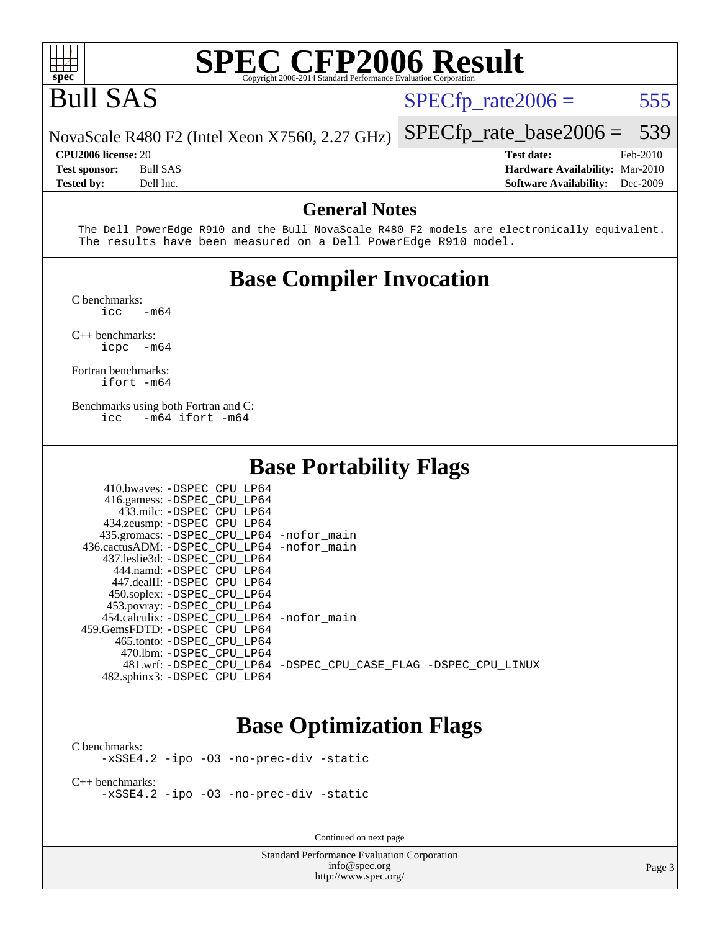

## Bull SAS

 $SPECTp_rate2006 = 555$ 

[SPECfp\\_rate\\_base2006 =](http://www.spec.org/auto/cpu2006/Docs/result-fields.html#SPECfpratebase2006) 539

NovaScale R480 F2 (Intel Xeon X7560, 2.27 GHz)

**[CPU2006 license:](http://www.spec.org/auto/cpu2006/Docs/result-fields.html#CPU2006license)** 20 **[Test date:](http://www.spec.org/auto/cpu2006/Docs/result-fields.html#Testdate)** Feb-2010 **[Test sponsor:](http://www.spec.org/auto/cpu2006/Docs/result-fields.html#Testsponsor)** Bull SAS **[Hardware Availability:](http://www.spec.org/auto/cpu2006/Docs/result-fields.html#HardwareAvailability)** Mar-2010 **[Tested by:](http://www.spec.org/auto/cpu2006/Docs/result-fields.html#Testedby)** Dell Inc. **[Software Availability:](http://www.spec.org/auto/cpu2006/Docs/result-fields.html#SoftwareAvailability)** Dec-2009

#### **[General Notes](http://www.spec.org/auto/cpu2006/Docs/result-fields.html#GeneralNotes)**

 The Dell PowerEdge R910 and the Bull NovaScale R480 F2 models are electronically equivalent. The results have been measured on a Dell PowerEdge R910 model.

### **[Base Compiler Invocation](http://www.spec.org/auto/cpu2006/Docs/result-fields.html#BaseCompilerInvocation)**

[C benchmarks](http://www.spec.org/auto/cpu2006/Docs/result-fields.html#Cbenchmarks):  $irc = m64$ 

[C++ benchmarks:](http://www.spec.org/auto/cpu2006/Docs/result-fields.html#CXXbenchmarks)

[icpc -m64](http://www.spec.org/cpu2006/results/res2010q3/cpu2006-20100621-11970.flags.html#user_CXXbase_intel_icpc_64bit_bedb90c1146cab66620883ef4f41a67e)

[Fortran benchmarks](http://www.spec.org/auto/cpu2006/Docs/result-fields.html#Fortranbenchmarks): [ifort -m64](http://www.spec.org/cpu2006/results/res2010q3/cpu2006-20100621-11970.flags.html#user_FCbase_intel_ifort_64bit_ee9d0fb25645d0210d97eb0527dcc06e)

[Benchmarks using both Fortran and C](http://www.spec.org/auto/cpu2006/Docs/result-fields.html#BenchmarksusingbothFortranandC): [icc -m64](http://www.spec.org/cpu2006/results/res2010q3/cpu2006-20100621-11970.flags.html#user_CC_FCbase_intel_icc_64bit_0b7121f5ab7cfabee23d88897260401c) [ifort -m64](http://www.spec.org/cpu2006/results/res2010q3/cpu2006-20100621-11970.flags.html#user_CC_FCbase_intel_ifort_64bit_ee9d0fb25645d0210d97eb0527dcc06e)

410.bwaves: [-DSPEC\\_CPU\\_LP64](http://www.spec.org/cpu2006/results/res2010q3/cpu2006-20100621-11970.flags.html#suite_basePORTABILITY410_bwaves_DSPEC_CPU_LP64)

### **[Base Portability Flags](http://www.spec.org/auto/cpu2006/Docs/result-fields.html#BasePortabilityFlags)**

| 410.bwaves: -DSPEC CPU LP64                                    |  |
|----------------------------------------------------------------|--|
| 416.gamess: -DSPEC_CPU_LP64                                    |  |
| 433.milc: -DSPEC CPU LP64                                      |  |
| 434.zeusmp: -DSPEC_CPU_LP64                                    |  |
| 435.gromacs: -DSPEC_CPU_LP64 -nofor_main                       |  |
| 436.cactusADM: - DSPEC CPU LP64 - nofor main                   |  |
| 437.leslie3d: -DSPEC CPU LP64                                  |  |
| 444.namd: -DSPEC CPU LP64                                      |  |
| 447.dealII: -DSPEC CPU LP64                                    |  |
| 450.soplex: -DSPEC_CPU_LP64                                    |  |
| 453.povray: -DSPEC_CPU_LP64                                    |  |
| 454.calculix: -DSPEC CPU LP64 -nofor main                      |  |
| 459. GemsFDTD: - DSPEC CPU LP64                                |  |
| 465.tonto: - DSPEC CPU LP64                                    |  |
| 470.1bm: - DSPEC CPU LP64                                      |  |
| 481.wrf: -DSPEC CPU_LP64 -DSPEC_CPU_CASE_FLAG -DSPEC_CPU_LINUX |  |
| 482.sphinx3: -DSPEC_CPU_LP64                                   |  |
|                                                                |  |

### **[Base Optimization Flags](http://www.spec.org/auto/cpu2006/Docs/result-fields.html#BaseOptimizationFlags)**

[C benchmarks](http://www.spec.org/auto/cpu2006/Docs/result-fields.html#Cbenchmarks): [-xSSE4.2](http://www.spec.org/cpu2006/results/res2010q3/cpu2006-20100621-11970.flags.html#user_CCbase_f-xSSE42_f91528193cf0b216347adb8b939d4107) [-ipo](http://www.spec.org/cpu2006/results/res2010q3/cpu2006-20100621-11970.flags.html#user_CCbase_f-ipo) [-O3](http://www.spec.org/cpu2006/results/res2010q3/cpu2006-20100621-11970.flags.html#user_CCbase_f-O3) [-no-prec-div](http://www.spec.org/cpu2006/results/res2010q3/cpu2006-20100621-11970.flags.html#user_CCbase_f-no-prec-div) [-static](http://www.spec.org/cpu2006/results/res2010q3/cpu2006-20100621-11970.flags.html#user_CCbase_f-static)

[C++ benchmarks:](http://www.spec.org/auto/cpu2006/Docs/result-fields.html#CXXbenchmarks) [-xSSE4.2](http://www.spec.org/cpu2006/results/res2010q3/cpu2006-20100621-11970.flags.html#user_CXXbase_f-xSSE42_f91528193cf0b216347adb8b939d4107) [-ipo](http://www.spec.org/cpu2006/results/res2010q3/cpu2006-20100621-11970.flags.html#user_CXXbase_f-ipo) [-O3](http://www.spec.org/cpu2006/results/res2010q3/cpu2006-20100621-11970.flags.html#user_CXXbase_f-O3) [-no-prec-div](http://www.spec.org/cpu2006/results/res2010q3/cpu2006-20100621-11970.flags.html#user_CXXbase_f-no-prec-div) [-static](http://www.spec.org/cpu2006/results/res2010q3/cpu2006-20100621-11970.flags.html#user_CXXbase_f-static)

Continued on next page

Standard Performance Evaluation Corporation [info@spec.org](mailto:info@spec.org) <http://www.spec.org/>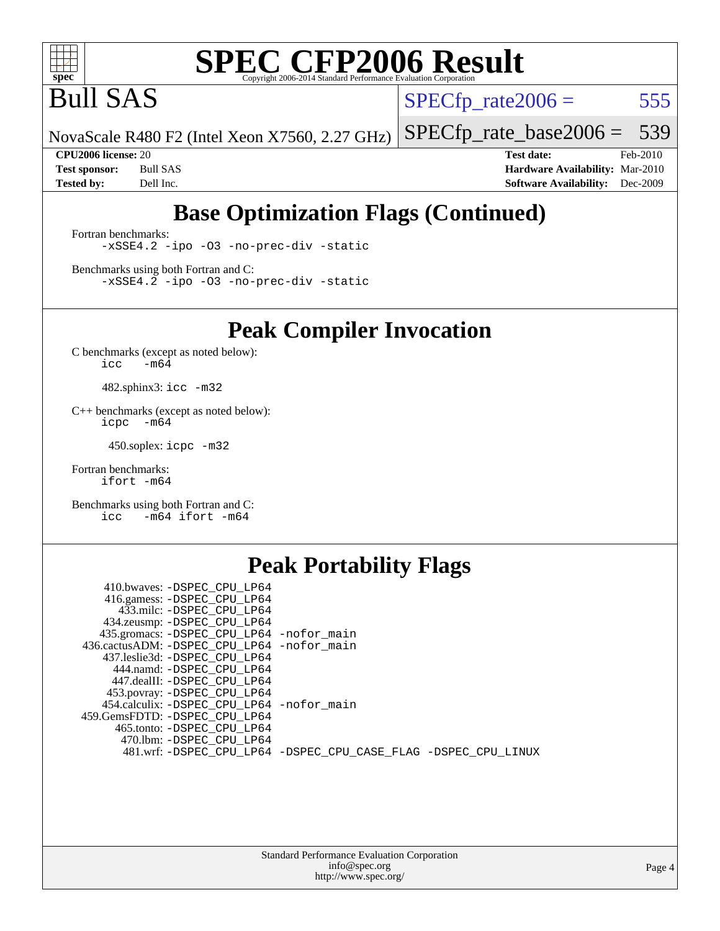

Bull SAS

 $SPECTp_rate2006 = 555$ 

NovaScale R480 F2 (Intel Xeon X7560, 2.27 GHz) [SPECfp\\_rate\\_base2006 =](http://www.spec.org/auto/cpu2006/Docs/result-fields.html#SPECfpratebase2006) 539

**[CPU2006 license:](http://www.spec.org/auto/cpu2006/Docs/result-fields.html#CPU2006license)** 20 **[Test date:](http://www.spec.org/auto/cpu2006/Docs/result-fields.html#Testdate)** Feb-2010 **[Test sponsor:](http://www.spec.org/auto/cpu2006/Docs/result-fields.html#Testsponsor)** Bull SAS **[Hardware Availability:](http://www.spec.org/auto/cpu2006/Docs/result-fields.html#HardwareAvailability)** Mar-2010 **[Tested by:](http://www.spec.org/auto/cpu2006/Docs/result-fields.html#Testedby)** Dell Inc. **[Software Availability:](http://www.spec.org/auto/cpu2006/Docs/result-fields.html#SoftwareAvailability)** Dec-2009

### **[Base Optimization Flags \(Continued\)](http://www.spec.org/auto/cpu2006/Docs/result-fields.html#BaseOptimizationFlags)**

[Fortran benchmarks](http://www.spec.org/auto/cpu2006/Docs/result-fields.html#Fortranbenchmarks): [-xSSE4.2](http://www.spec.org/cpu2006/results/res2010q3/cpu2006-20100621-11970.flags.html#user_FCbase_f-xSSE42_f91528193cf0b216347adb8b939d4107) [-ipo](http://www.spec.org/cpu2006/results/res2010q3/cpu2006-20100621-11970.flags.html#user_FCbase_f-ipo) [-O3](http://www.spec.org/cpu2006/results/res2010q3/cpu2006-20100621-11970.flags.html#user_FCbase_f-O3) [-no-prec-div](http://www.spec.org/cpu2006/results/res2010q3/cpu2006-20100621-11970.flags.html#user_FCbase_f-no-prec-div) [-static](http://www.spec.org/cpu2006/results/res2010q3/cpu2006-20100621-11970.flags.html#user_FCbase_f-static)

[Benchmarks using both Fortran and C](http://www.spec.org/auto/cpu2006/Docs/result-fields.html#BenchmarksusingbothFortranandC): [-xSSE4.2](http://www.spec.org/cpu2006/results/res2010q3/cpu2006-20100621-11970.flags.html#user_CC_FCbase_f-xSSE42_f91528193cf0b216347adb8b939d4107) [-ipo](http://www.spec.org/cpu2006/results/res2010q3/cpu2006-20100621-11970.flags.html#user_CC_FCbase_f-ipo) [-O3](http://www.spec.org/cpu2006/results/res2010q3/cpu2006-20100621-11970.flags.html#user_CC_FCbase_f-O3) [-no-prec-div](http://www.spec.org/cpu2006/results/res2010q3/cpu2006-20100621-11970.flags.html#user_CC_FCbase_f-no-prec-div) [-static](http://www.spec.org/cpu2006/results/res2010q3/cpu2006-20100621-11970.flags.html#user_CC_FCbase_f-static)

**[Peak Compiler Invocation](http://www.spec.org/auto/cpu2006/Docs/result-fields.html#PeakCompilerInvocation)**

[C benchmarks \(except as noted below\)](http://www.spec.org/auto/cpu2006/Docs/result-fields.html#Cbenchmarksexceptasnotedbelow):  $\text{icc}$  -m64

482.sphinx3: [icc -m32](http://www.spec.org/cpu2006/results/res2010q3/cpu2006-20100621-11970.flags.html#user_peakCCLD482_sphinx3_intel_icc_32bit_a6a621f8d50482236b970c6ac5f55f93)

[C++ benchmarks \(except as noted below\):](http://www.spec.org/auto/cpu2006/Docs/result-fields.html#CXXbenchmarksexceptasnotedbelow) [icpc -m64](http://www.spec.org/cpu2006/results/res2010q3/cpu2006-20100621-11970.flags.html#user_CXXpeak_intel_icpc_64bit_bedb90c1146cab66620883ef4f41a67e)

450.soplex: [icpc -m32](http://www.spec.org/cpu2006/results/res2010q3/cpu2006-20100621-11970.flags.html#user_peakCXXLD450_soplex_intel_icpc_32bit_4e5a5ef1a53fd332b3c49e69c3330699)

[Fortran benchmarks](http://www.spec.org/auto/cpu2006/Docs/result-fields.html#Fortranbenchmarks): [ifort -m64](http://www.spec.org/cpu2006/results/res2010q3/cpu2006-20100621-11970.flags.html#user_FCpeak_intel_ifort_64bit_ee9d0fb25645d0210d97eb0527dcc06e)

[Benchmarks using both Fortran and C](http://www.spec.org/auto/cpu2006/Docs/result-fields.html#BenchmarksusingbothFortranandC): [icc -m64](http://www.spec.org/cpu2006/results/res2010q3/cpu2006-20100621-11970.flags.html#user_CC_FCpeak_intel_icc_64bit_0b7121f5ab7cfabee23d88897260401c) [ifort -m64](http://www.spec.org/cpu2006/results/res2010q3/cpu2006-20100621-11970.flags.html#user_CC_FCpeak_intel_ifort_64bit_ee9d0fb25645d0210d97eb0527dcc06e)

### **[Peak Portability Flags](http://www.spec.org/auto/cpu2006/Docs/result-fields.html#PeakPortabilityFlags)**

| 410.bwaves: -DSPEC CPU LP64                |                                                                |  |
|--------------------------------------------|----------------------------------------------------------------|--|
| 416.gamess: -DSPEC CPU LP64                |                                                                |  |
| 433.milc: -DSPEC CPU LP64                  |                                                                |  |
| 434.zeusmp: -DSPEC_CPU_LP64                |                                                                |  |
| 435.gromacs: -DSPEC_CPU_LP64 -nofor_main   |                                                                |  |
| 436.cactusADM: -DSPEC CPU LP64 -nofor main |                                                                |  |
| 437.leslie3d: -DSPEC CPU LP64              |                                                                |  |
| 444.namd: -DSPEC CPU LP64                  |                                                                |  |
| 447.dealII: -DSPEC CPU LP64                |                                                                |  |
| 453.povray: -DSPEC_CPU_LP64                |                                                                |  |
| 454.calculix: -DSPEC CPU LP64 -nofor main  |                                                                |  |
| 459.GemsFDTD: -DSPEC CPU LP64              |                                                                |  |
| 465.tonto: -DSPEC CPU LP64                 |                                                                |  |
| 470.1bm: -DSPEC CPU LP64                   |                                                                |  |
|                                            | 481.wrf: -DSPEC_CPU_LP64 -DSPEC_CPU_CASE_FLAG -DSPEC_CPU_LINUX |  |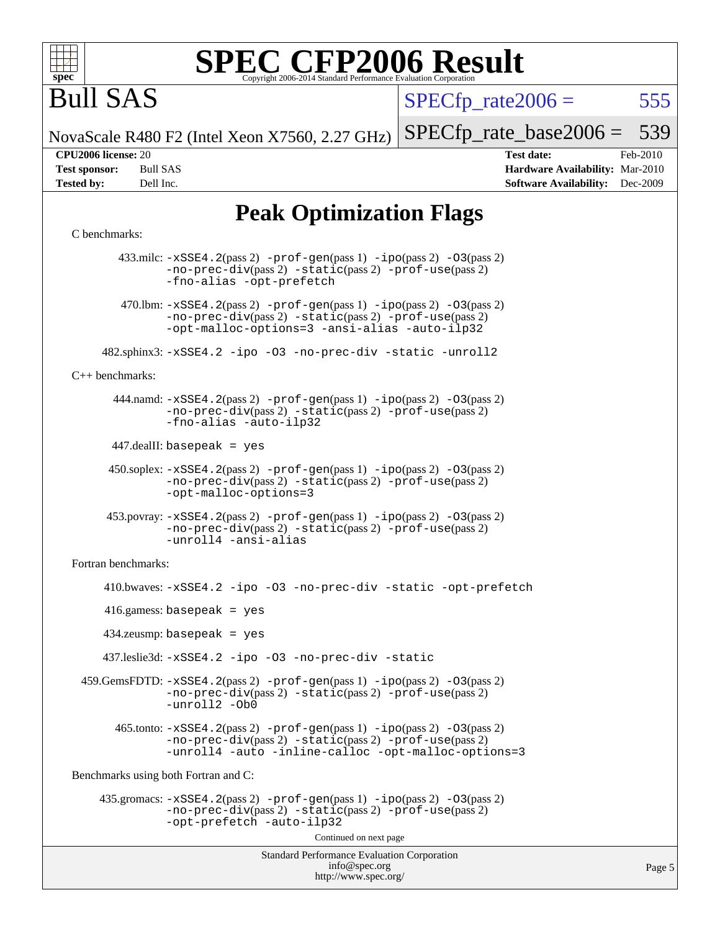

# Bull SAS

 $SPECTp\_rate2006 = 555$ 

NovaScale R480 F2 (Intel Xeon X7560, 2.27 GHz)

[SPECfp\\_rate\\_base2006 =](http://www.spec.org/auto/cpu2006/Docs/result-fields.html#SPECfpratebase2006) 539

**[CPU2006 license:](http://www.spec.org/auto/cpu2006/Docs/result-fields.html#CPU2006license)** 20 **[Test date:](http://www.spec.org/auto/cpu2006/Docs/result-fields.html#Testdate)** Feb-2010 **[Test sponsor:](http://www.spec.org/auto/cpu2006/Docs/result-fields.html#Testsponsor)** Bull SAS **[Hardware Availability:](http://www.spec.org/auto/cpu2006/Docs/result-fields.html#HardwareAvailability)** Mar-2010 **[Tested by:](http://www.spec.org/auto/cpu2006/Docs/result-fields.html#Testedby)** Dell Inc. **[Software Availability:](http://www.spec.org/auto/cpu2006/Docs/result-fields.html#SoftwareAvailability)** Dec-2009

### **[Peak Optimization Flags](http://www.spec.org/auto/cpu2006/Docs/result-fields.html#PeakOptimizationFlags)**

#### [C benchmarks](http://www.spec.org/auto/cpu2006/Docs/result-fields.html#Cbenchmarks):

Standard Performance Evaluation Corporation [info@spec.org](mailto:info@spec.org) <http://www.spec.org/> 433.milc: [-xSSE4.2](http://www.spec.org/cpu2006/results/res2010q3/cpu2006-20100621-11970.flags.html#user_peakPASS2_CFLAGSPASS2_LDFLAGS433_milc_f-xSSE42_f91528193cf0b216347adb8b939d4107)(pass 2) [-prof-gen](http://www.spec.org/cpu2006/results/res2010q3/cpu2006-20100621-11970.flags.html#user_peakPASS1_CFLAGSPASS1_LDFLAGS433_milc_prof_gen_e43856698f6ca7b7e442dfd80e94a8fc)(pass 1) [-ipo](http://www.spec.org/cpu2006/results/res2010q3/cpu2006-20100621-11970.flags.html#user_peakPASS2_CFLAGSPASS2_LDFLAGS433_milc_f-ipo)(pass 2) [-O3](http://www.spec.org/cpu2006/results/res2010q3/cpu2006-20100621-11970.flags.html#user_peakPASS2_CFLAGSPASS2_LDFLAGS433_milc_f-O3)(pass 2) [-no-prec-div](http://www.spec.org/cpu2006/results/res2010q3/cpu2006-20100621-11970.flags.html#user_peakPASS2_CFLAGSPASS2_LDFLAGS433_milc_f-no-prec-div)(pass 2) [-static](http://www.spec.org/cpu2006/results/res2010q3/cpu2006-20100621-11970.flags.html#user_peakPASS2_CFLAGSPASS2_LDFLAGS433_milc_f-static)(pass 2) [-prof-use](http://www.spec.org/cpu2006/results/res2010q3/cpu2006-20100621-11970.flags.html#user_peakPASS2_CFLAGSPASS2_LDFLAGS433_milc_prof_use_bccf7792157ff70d64e32fe3e1250b55)(pass 2) [-fno-alias](http://www.spec.org/cpu2006/results/res2010q3/cpu2006-20100621-11970.flags.html#user_peakOPTIMIZE433_milc_f-no-alias_694e77f6c5a51e658e82ccff53a9e63a) [-opt-prefetch](http://www.spec.org/cpu2006/results/res2010q3/cpu2006-20100621-11970.flags.html#user_peakOPTIMIZE433_milc_f-opt-prefetch) 470.1bm:  $-xSSE4$ . 2(pass 2)  $-prof-gen(pass 1) -ipo(pass 2) -O3(pass 2)$  $-prof-gen(pass 1) -ipo(pass 2) -O3(pass 2)$  $-prof-gen(pass 1) -ipo(pass 2) -O3(pass 2)$  $-prof-gen(pass 1) -ipo(pass 2) -O3(pass 2)$  $-prof-gen(pass 1) -ipo(pass 2) -O3(pass 2)$  $-prof-gen(pass 1) -ipo(pass 2) -O3(pass 2)$ [-no-prec-div](http://www.spec.org/cpu2006/results/res2010q3/cpu2006-20100621-11970.flags.html#user_peakPASS2_CFLAGSPASS2_LDFLAGS470_lbm_f-no-prec-div)(pass 2) [-static](http://www.spec.org/cpu2006/results/res2010q3/cpu2006-20100621-11970.flags.html#user_peakPASS2_CFLAGSPASS2_LDFLAGS470_lbm_f-static)(pass 2) [-prof-use](http://www.spec.org/cpu2006/results/res2010q3/cpu2006-20100621-11970.flags.html#user_peakPASS2_CFLAGSPASS2_LDFLAGS470_lbm_prof_use_bccf7792157ff70d64e32fe3e1250b55)(pass 2) [-opt-malloc-options=3](http://www.spec.org/cpu2006/results/res2010q3/cpu2006-20100621-11970.flags.html#user_peakOPTIMIZE470_lbm_f-opt-malloc-options_13ab9b803cf986b4ee62f0a5998c2238) [-ansi-alias](http://www.spec.org/cpu2006/results/res2010q3/cpu2006-20100621-11970.flags.html#user_peakOPTIMIZE470_lbm_f-ansi-alias) [-auto-ilp32](http://www.spec.org/cpu2006/results/res2010q3/cpu2006-20100621-11970.flags.html#user_peakCOPTIMIZE470_lbm_f-auto-ilp32) 482.sphinx3: [-xSSE4.2](http://www.spec.org/cpu2006/results/res2010q3/cpu2006-20100621-11970.flags.html#user_peakOPTIMIZE482_sphinx3_f-xSSE42_f91528193cf0b216347adb8b939d4107) [-ipo](http://www.spec.org/cpu2006/results/res2010q3/cpu2006-20100621-11970.flags.html#user_peakOPTIMIZE482_sphinx3_f-ipo) [-O3](http://www.spec.org/cpu2006/results/res2010q3/cpu2006-20100621-11970.flags.html#user_peakOPTIMIZE482_sphinx3_f-O3) [-no-prec-div](http://www.spec.org/cpu2006/results/res2010q3/cpu2006-20100621-11970.flags.html#user_peakOPTIMIZE482_sphinx3_f-no-prec-div) [-static](http://www.spec.org/cpu2006/results/res2010q3/cpu2006-20100621-11970.flags.html#user_peakOPTIMIZE482_sphinx3_f-static) [-unroll2](http://www.spec.org/cpu2006/results/res2010q3/cpu2006-20100621-11970.flags.html#user_peakCOPTIMIZE482_sphinx3_f-unroll_784dae83bebfb236979b41d2422d7ec2) [C++ benchmarks:](http://www.spec.org/auto/cpu2006/Docs/result-fields.html#CXXbenchmarks) 444.namd: [-xSSE4.2](http://www.spec.org/cpu2006/results/res2010q3/cpu2006-20100621-11970.flags.html#user_peakPASS2_CXXFLAGSPASS2_LDFLAGS444_namd_f-xSSE42_f91528193cf0b216347adb8b939d4107)(pass 2) [-prof-gen](http://www.spec.org/cpu2006/results/res2010q3/cpu2006-20100621-11970.flags.html#user_peakPASS1_CXXFLAGSPASS1_LDFLAGS444_namd_prof_gen_e43856698f6ca7b7e442dfd80e94a8fc)(pass 1) [-ipo](http://www.spec.org/cpu2006/results/res2010q3/cpu2006-20100621-11970.flags.html#user_peakPASS2_CXXFLAGSPASS2_LDFLAGS444_namd_f-ipo)(pass 2) [-O3](http://www.spec.org/cpu2006/results/res2010q3/cpu2006-20100621-11970.flags.html#user_peakPASS2_CXXFLAGSPASS2_LDFLAGS444_namd_f-O3)(pass 2) [-no-prec-div](http://www.spec.org/cpu2006/results/res2010q3/cpu2006-20100621-11970.flags.html#user_peakPASS2_CXXFLAGSPASS2_LDFLAGS444_namd_f-no-prec-div)(pass 2) [-static](http://www.spec.org/cpu2006/results/res2010q3/cpu2006-20100621-11970.flags.html#user_peakPASS2_CXXFLAGSPASS2_LDFLAGS444_namd_f-static)(pass 2) [-prof-use](http://www.spec.org/cpu2006/results/res2010q3/cpu2006-20100621-11970.flags.html#user_peakPASS2_CXXFLAGSPASS2_LDFLAGS444_namd_prof_use_bccf7792157ff70d64e32fe3e1250b55)(pass 2) [-fno-alias](http://www.spec.org/cpu2006/results/res2010q3/cpu2006-20100621-11970.flags.html#user_peakCXXOPTIMIZE444_namd_f-no-alias_694e77f6c5a51e658e82ccff53a9e63a) [-auto-ilp32](http://www.spec.org/cpu2006/results/res2010q3/cpu2006-20100621-11970.flags.html#user_peakCXXOPTIMIZE444_namd_f-auto-ilp32) 447.dealII: basepeak = yes 450.soplex: [-xSSE4.2](http://www.spec.org/cpu2006/results/res2010q3/cpu2006-20100621-11970.flags.html#user_peakPASS2_CXXFLAGSPASS2_LDFLAGS450_soplex_f-xSSE42_f91528193cf0b216347adb8b939d4107)(pass 2) [-prof-gen](http://www.spec.org/cpu2006/results/res2010q3/cpu2006-20100621-11970.flags.html#user_peakPASS1_CXXFLAGSPASS1_LDFLAGS450_soplex_prof_gen_e43856698f6ca7b7e442dfd80e94a8fc)(pass 1) [-ipo](http://www.spec.org/cpu2006/results/res2010q3/cpu2006-20100621-11970.flags.html#user_peakPASS2_CXXFLAGSPASS2_LDFLAGS450_soplex_f-ipo)(pass 2) [-O3](http://www.spec.org/cpu2006/results/res2010q3/cpu2006-20100621-11970.flags.html#user_peakPASS2_CXXFLAGSPASS2_LDFLAGS450_soplex_f-O3)(pass 2) [-no-prec-div](http://www.spec.org/cpu2006/results/res2010q3/cpu2006-20100621-11970.flags.html#user_peakPASS2_CXXFLAGSPASS2_LDFLAGS450_soplex_f-no-prec-div)(pass 2) [-static](http://www.spec.org/cpu2006/results/res2010q3/cpu2006-20100621-11970.flags.html#user_peakPASS2_CXXFLAGSPASS2_LDFLAGS450_soplex_f-static)(pass 2) [-prof-use](http://www.spec.org/cpu2006/results/res2010q3/cpu2006-20100621-11970.flags.html#user_peakPASS2_CXXFLAGSPASS2_LDFLAGS450_soplex_prof_use_bccf7792157ff70d64e32fe3e1250b55)(pass 2) [-opt-malloc-options=3](http://www.spec.org/cpu2006/results/res2010q3/cpu2006-20100621-11970.flags.html#user_peakOPTIMIZE450_soplex_f-opt-malloc-options_13ab9b803cf986b4ee62f0a5998c2238) 453.povray: [-xSSE4.2](http://www.spec.org/cpu2006/results/res2010q3/cpu2006-20100621-11970.flags.html#user_peakPASS2_CXXFLAGSPASS2_LDFLAGS453_povray_f-xSSE42_f91528193cf0b216347adb8b939d4107)(pass 2) [-prof-gen](http://www.spec.org/cpu2006/results/res2010q3/cpu2006-20100621-11970.flags.html#user_peakPASS1_CXXFLAGSPASS1_LDFLAGS453_povray_prof_gen_e43856698f6ca7b7e442dfd80e94a8fc)(pass 1) [-ipo](http://www.spec.org/cpu2006/results/res2010q3/cpu2006-20100621-11970.flags.html#user_peakPASS2_CXXFLAGSPASS2_LDFLAGS453_povray_f-ipo)(pass 2) [-O3](http://www.spec.org/cpu2006/results/res2010q3/cpu2006-20100621-11970.flags.html#user_peakPASS2_CXXFLAGSPASS2_LDFLAGS453_povray_f-O3)(pass 2) [-no-prec-div](http://www.spec.org/cpu2006/results/res2010q3/cpu2006-20100621-11970.flags.html#user_peakPASS2_CXXFLAGSPASS2_LDFLAGS453_povray_f-no-prec-div)(pass 2) [-static](http://www.spec.org/cpu2006/results/res2010q3/cpu2006-20100621-11970.flags.html#user_peakPASS2_CXXFLAGSPASS2_LDFLAGS453_povray_f-static)(pass 2) [-prof-use](http://www.spec.org/cpu2006/results/res2010q3/cpu2006-20100621-11970.flags.html#user_peakPASS2_CXXFLAGSPASS2_LDFLAGS453_povray_prof_use_bccf7792157ff70d64e32fe3e1250b55)(pass 2) [-unroll4](http://www.spec.org/cpu2006/results/res2010q3/cpu2006-20100621-11970.flags.html#user_peakCXXOPTIMIZE453_povray_f-unroll_4e5e4ed65b7fd20bdcd365bec371b81f) [-ansi-alias](http://www.spec.org/cpu2006/results/res2010q3/cpu2006-20100621-11970.flags.html#user_peakCXXOPTIMIZE453_povray_f-ansi-alias) [Fortran benchmarks](http://www.spec.org/auto/cpu2006/Docs/result-fields.html#Fortranbenchmarks): 410.bwaves: [-xSSE4.2](http://www.spec.org/cpu2006/results/res2010q3/cpu2006-20100621-11970.flags.html#user_peakOPTIMIZE410_bwaves_f-xSSE42_f91528193cf0b216347adb8b939d4107) [-ipo](http://www.spec.org/cpu2006/results/res2010q3/cpu2006-20100621-11970.flags.html#user_peakOPTIMIZE410_bwaves_f-ipo) [-O3](http://www.spec.org/cpu2006/results/res2010q3/cpu2006-20100621-11970.flags.html#user_peakOPTIMIZE410_bwaves_f-O3) [-no-prec-div](http://www.spec.org/cpu2006/results/res2010q3/cpu2006-20100621-11970.flags.html#user_peakOPTIMIZE410_bwaves_f-no-prec-div) [-static](http://www.spec.org/cpu2006/results/res2010q3/cpu2006-20100621-11970.flags.html#user_peakOPTIMIZE410_bwaves_f-static) [-opt-prefetch](http://www.spec.org/cpu2006/results/res2010q3/cpu2006-20100621-11970.flags.html#user_peakOPTIMIZE410_bwaves_f-opt-prefetch) 416.gamess: basepeak = yes 434.zeusmp: basepeak = yes 437.leslie3d: [-xSSE4.2](http://www.spec.org/cpu2006/results/res2010q3/cpu2006-20100621-11970.flags.html#user_peakOPTIMIZE437_leslie3d_f-xSSE42_f91528193cf0b216347adb8b939d4107) [-ipo](http://www.spec.org/cpu2006/results/res2010q3/cpu2006-20100621-11970.flags.html#user_peakOPTIMIZE437_leslie3d_f-ipo) [-O3](http://www.spec.org/cpu2006/results/res2010q3/cpu2006-20100621-11970.flags.html#user_peakOPTIMIZE437_leslie3d_f-O3) [-no-prec-div](http://www.spec.org/cpu2006/results/res2010q3/cpu2006-20100621-11970.flags.html#user_peakOPTIMIZE437_leslie3d_f-no-prec-div) [-static](http://www.spec.org/cpu2006/results/res2010q3/cpu2006-20100621-11970.flags.html#user_peakOPTIMIZE437_leslie3d_f-static) 459.GemsFDTD: [-xSSE4.2](http://www.spec.org/cpu2006/results/res2010q3/cpu2006-20100621-11970.flags.html#user_peakPASS2_FFLAGSPASS2_LDFLAGS459_GemsFDTD_f-xSSE42_f91528193cf0b216347adb8b939d4107)(pass 2) [-prof-gen](http://www.spec.org/cpu2006/results/res2010q3/cpu2006-20100621-11970.flags.html#user_peakPASS1_FFLAGSPASS1_LDFLAGS459_GemsFDTD_prof_gen_e43856698f6ca7b7e442dfd80e94a8fc)(pass 1) [-ipo](http://www.spec.org/cpu2006/results/res2010q3/cpu2006-20100621-11970.flags.html#user_peakPASS2_FFLAGSPASS2_LDFLAGS459_GemsFDTD_f-ipo)(pass 2) [-O3](http://www.spec.org/cpu2006/results/res2010q3/cpu2006-20100621-11970.flags.html#user_peakPASS2_FFLAGSPASS2_LDFLAGS459_GemsFDTD_f-O3)(pass 2) [-no-prec-div](http://www.spec.org/cpu2006/results/res2010q3/cpu2006-20100621-11970.flags.html#user_peakPASS2_FFLAGSPASS2_LDFLAGS459_GemsFDTD_f-no-prec-div)(pass 2) [-static](http://www.spec.org/cpu2006/results/res2010q3/cpu2006-20100621-11970.flags.html#user_peakPASS2_FFLAGSPASS2_LDFLAGS459_GemsFDTD_f-static)(pass 2) [-prof-use](http://www.spec.org/cpu2006/results/res2010q3/cpu2006-20100621-11970.flags.html#user_peakPASS2_FFLAGSPASS2_LDFLAGS459_GemsFDTD_prof_use_bccf7792157ff70d64e32fe3e1250b55)(pass 2) [-unroll2](http://www.spec.org/cpu2006/results/res2010q3/cpu2006-20100621-11970.flags.html#user_peakOPTIMIZE459_GemsFDTD_f-unroll_784dae83bebfb236979b41d2422d7ec2) [-Ob0](http://www.spec.org/cpu2006/results/res2010q3/cpu2006-20100621-11970.flags.html#user_peakOPTIMIZE459_GemsFDTD_f-Ob_n_fbe6f6428adb7d4b74b1e99bb2444c2d)  $465$ .tonto:  $-xSSE4$ .  $2(pass 2)$  [-prof-gen](http://www.spec.org/cpu2006/results/res2010q3/cpu2006-20100621-11970.flags.html#user_peakPASS1_FFLAGSPASS1_LDFLAGS465_tonto_prof_gen_e43856698f6ca7b7e442dfd80e94a8fc)(pass 1) [-ipo](http://www.spec.org/cpu2006/results/res2010q3/cpu2006-20100621-11970.flags.html#user_peakPASS2_FFLAGSPASS2_LDFLAGS465_tonto_f-ipo)(pass 2) -03(pass 2) [-no-prec-div](http://www.spec.org/cpu2006/results/res2010q3/cpu2006-20100621-11970.flags.html#user_peakPASS2_FFLAGSPASS2_LDFLAGS465_tonto_f-no-prec-div)(pass 2) [-static](http://www.spec.org/cpu2006/results/res2010q3/cpu2006-20100621-11970.flags.html#user_peakPASS2_FFLAGSPASS2_LDFLAGS465_tonto_f-static)(pass 2) [-prof-use](http://www.spec.org/cpu2006/results/res2010q3/cpu2006-20100621-11970.flags.html#user_peakPASS2_FFLAGSPASS2_LDFLAGS465_tonto_prof_use_bccf7792157ff70d64e32fe3e1250b55)(pass 2) [-unroll4](http://www.spec.org/cpu2006/results/res2010q3/cpu2006-20100621-11970.flags.html#user_peakOPTIMIZE465_tonto_f-unroll_4e5e4ed65b7fd20bdcd365bec371b81f) [-auto](http://www.spec.org/cpu2006/results/res2010q3/cpu2006-20100621-11970.flags.html#user_peakOPTIMIZE465_tonto_f-auto) [-inline-calloc](http://www.spec.org/cpu2006/results/res2010q3/cpu2006-20100621-11970.flags.html#user_peakOPTIMIZE465_tonto_f-inline-calloc) [-opt-malloc-options=3](http://www.spec.org/cpu2006/results/res2010q3/cpu2006-20100621-11970.flags.html#user_peakOPTIMIZE465_tonto_f-opt-malloc-options_13ab9b803cf986b4ee62f0a5998c2238) [Benchmarks using both Fortran and C](http://www.spec.org/auto/cpu2006/Docs/result-fields.html#BenchmarksusingbothFortranandC): 435.gromacs: [-xSSE4.2](http://www.spec.org/cpu2006/results/res2010q3/cpu2006-20100621-11970.flags.html#user_peakPASS2_CFLAGSPASS2_FFLAGSPASS2_LDFLAGS435_gromacs_f-xSSE42_f91528193cf0b216347adb8b939d4107)(pass 2) [-prof-gen](http://www.spec.org/cpu2006/results/res2010q3/cpu2006-20100621-11970.flags.html#user_peakPASS1_CFLAGSPASS1_FFLAGSPASS1_LDFLAGS435_gromacs_prof_gen_e43856698f6ca7b7e442dfd80e94a8fc)(pass 1) [-ipo](http://www.spec.org/cpu2006/results/res2010q3/cpu2006-20100621-11970.flags.html#user_peakPASS2_CFLAGSPASS2_FFLAGSPASS2_LDFLAGS435_gromacs_f-ipo)(pass 2) [-O3](http://www.spec.org/cpu2006/results/res2010q3/cpu2006-20100621-11970.flags.html#user_peakPASS2_CFLAGSPASS2_FFLAGSPASS2_LDFLAGS435_gromacs_f-O3)(pass 2) [-no-prec-div](http://www.spec.org/cpu2006/results/res2010q3/cpu2006-20100621-11970.flags.html#user_peakPASS2_CFLAGSPASS2_FFLAGSPASS2_LDFLAGS435_gromacs_f-no-prec-div)(pass 2) [-static](http://www.spec.org/cpu2006/results/res2010q3/cpu2006-20100621-11970.flags.html#user_peakPASS2_CFLAGSPASS2_FFLAGSPASS2_LDFLAGS435_gromacs_f-static)(pass 2) [-prof-use](http://www.spec.org/cpu2006/results/res2010q3/cpu2006-20100621-11970.flags.html#user_peakPASS2_CFLAGSPASS2_FFLAGSPASS2_LDFLAGS435_gromacs_prof_use_bccf7792157ff70d64e32fe3e1250b55)(pass 2) [-opt-prefetch](http://www.spec.org/cpu2006/results/res2010q3/cpu2006-20100621-11970.flags.html#user_peakOPTIMIZE435_gromacs_f-opt-prefetch) [-auto-ilp32](http://www.spec.org/cpu2006/results/res2010q3/cpu2006-20100621-11970.flags.html#user_peakCOPTIMIZE435_gromacs_f-auto-ilp32) Continued on next page